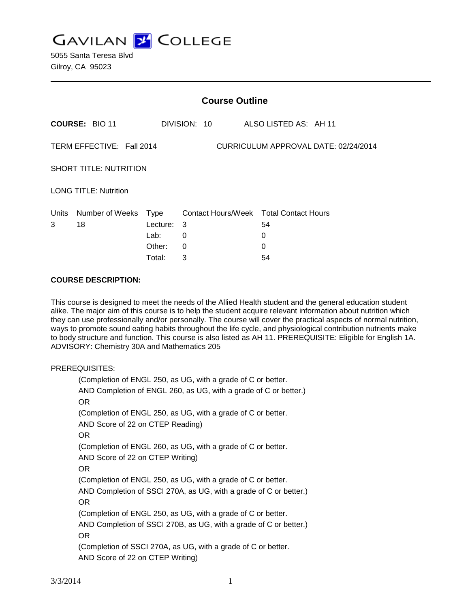**GAVILAN J COLLEGE** 

5055 Santa Teresa Blvd Gilroy, CA 95023

| <b>Course Outline</b>                                             |                       |          |              |                                        |
|-------------------------------------------------------------------|-----------------------|----------|--------------|----------------------------------------|
|                                                                   | <b>COURSE: BIO 11</b> |          | DIVISION: 10 | ALSO LISTED AS: AH 11                  |
| TERM EFFECTIVE: Fall 2014<br>CURRICULUM APPROVAL DATE: 02/24/2014 |                       |          |              |                                        |
| <b>SHORT TITLE: NUTRITION</b>                                     |                       |          |              |                                        |
| <b>LONG TITLE: Nutrition</b>                                      |                       |          |              |                                        |
| Units                                                             | Number of Weeks Type  |          |              | Contact Hours/Week Total Contact Hours |
| 3                                                                 | 18                    | Lecture: | 3            | 54                                     |
|                                                                   |                       | Lab:     | 0            | 0                                      |
|                                                                   |                       | Other:   | 0            | 0                                      |
|                                                                   |                       | Total:   | 3            | 54                                     |

#### **COURSE DESCRIPTION:**

This course is designed to meet the needs of the Allied Health student and the general education student alike. The major aim of this course is to help the student acquire relevant information about nutrition which they can use professionally and/or personally. The course will cover the practical aspects of normal nutrition, ways to promote sound eating habits throughout the life cycle, and physiological contribution nutrients make to body structure and function. This course is also listed as AH 11. PREREQUISITE: Eligible for English 1A. ADVISORY: Chemistry 30A and Mathematics 205

#### PREREQUISITES:

(Completion of ENGL 250, as UG, with a grade of C or better. AND Completion of ENGL 260, as UG, with a grade of C or better.) OR (Completion of ENGL 250, as UG, with a grade of C or better. AND Score of 22 on CTEP Reading) OR (Completion of ENGL 260, as UG, with a grade of C or better. AND Score of 22 on CTEP Writing) OR (Completion of ENGL 250, as UG, with a grade of C or better. AND Completion of SSCI 270A, as UG, with a grade of C or better.) OR (Completion of ENGL 250, as UG, with a grade of C or better. AND Completion of SSCI 270B, as UG, with a grade of C or better.) OR (Completion of SSCI 270A, as UG, with a grade of C or better. AND Score of 22 on CTEP Writing)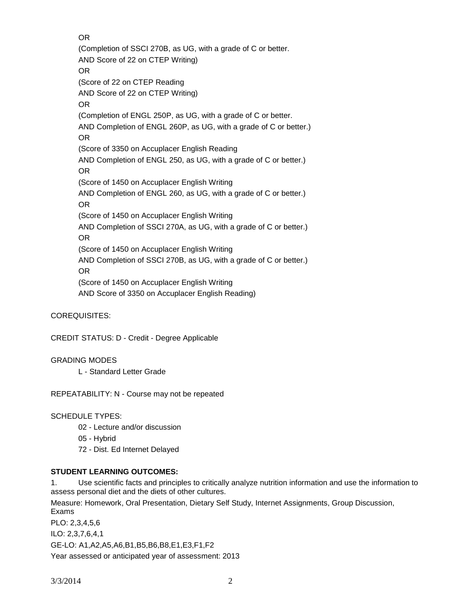OR

(Completion of SSCI 270B, as UG, with a grade of C or better. AND Score of 22 on CTEP Writing) OR (Score of 22 on CTEP Reading AND Score of 22 on CTEP Writing) OR (Completion of ENGL 250P, as UG, with a grade of C or better. AND Completion of ENGL 260P, as UG, with a grade of C or better.) OR (Score of 3350 on Accuplacer English Reading AND Completion of ENGL 250, as UG, with a grade of C or better.) OR (Score of 1450 on Accuplacer English Writing AND Completion of ENGL 260, as UG, with a grade of C or better.) OR (Score of 1450 on Accuplacer English Writing AND Completion of SSCI 270A, as UG, with a grade of C or better.) OR (Score of 1450 on Accuplacer English Writing AND Completion of SSCI 270B, as UG, with a grade of C or better.) OR (Score of 1450 on Accuplacer English Writing AND Score of 3350 on Accuplacer English Reading)

COREQUISITES:

CREDIT STATUS: D - Credit - Degree Applicable

GRADING MODES

L - Standard Letter Grade

REPEATABILITY: N - Course may not be repeated

SCHEDULE TYPES:

- 02 Lecture and/or discussion
- 05 Hybrid
- 72 Dist. Ed Internet Delayed

#### **STUDENT LEARNING OUTCOMES:**

1. Use scientific facts and principles to critically analyze nutrition information and use the information to assess personal diet and the diets of other cultures.

Measure: Homework, Oral Presentation, Dietary Self Study, Internet Assignments, Group Discussion, Exams

PLO: 2,3,4,5,6 ILO: 2,3,7,6,4,1 GE-LO: A1,A2,A5,A6,B1,B5,B6,B8,E1,E3,F1,F2 Year assessed or anticipated year of assessment: 2013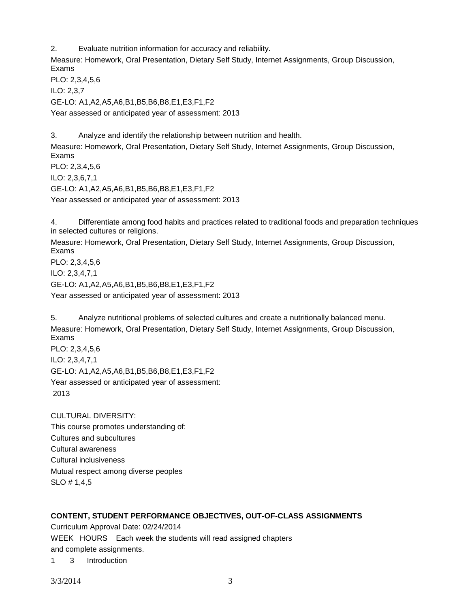2. Evaluate nutrition information for accuracy and reliability.

Measure: Homework, Oral Presentation, Dietary Self Study, Internet Assignments, Group Discussion, Exams

PLO: 2,3,4,5,6

ILO: 2,3,7

GE-LO: A1,A2,A5,A6,B1,B5,B6,B8,E1,E3,F1,F2

Year assessed or anticipated year of assessment: 2013

3. Analyze and identify the relationship between nutrition and health.

Measure: Homework, Oral Presentation, Dietary Self Study, Internet Assignments, Group Discussion, Exams PLO: 2,3,4,5,6

ILO: 2,3,6,7,1

GE-LO: A1,A2,A5,A6,B1,B5,B6,B8,E1,E3,F1,F2

Year assessed or anticipated year of assessment: 2013

4. Differentiate among food habits and practices related to traditional foods and preparation techniques in selected cultures or religions.

Measure: Homework, Oral Presentation, Dietary Self Study, Internet Assignments, Group Discussion, Exams PLO: 2,3,4,5,6

ILO: 2,3,4,7,1

GE-LO: A1,A2,A5,A6,B1,B5,B6,B8,E1,E3,F1,F2

Year assessed or anticipated year of assessment: 2013

5. Analyze nutritional problems of selected cultures and create a nutritionally balanced menu. Measure: Homework, Oral Presentation, Dietary Self Study, Internet Assignments, Group Discussion, Exams

PLO: 2,3,4,5,6 ILO: 2,3,4,7,1 GE-LO: A1,A2,A5,A6,B1,B5,B6,B8,E1,E3,F1,F2 Year assessed or anticipated year of assessment: 2013

CULTURAL DIVERSITY: This course promotes understanding of: Cultures and subcultures Cultural awareness Cultural inclusiveness Mutual respect among diverse peoples SLO # 1,4,5

### **CONTENT, STUDENT PERFORMANCE OBJECTIVES, OUT-OF-CLASS ASSIGNMENTS**

Curriculum Approval Date: 02/24/2014

WEEK HOURS Each week the students will read assigned chapters and complete assignments.

1 3 Introduction

3/3/2014 3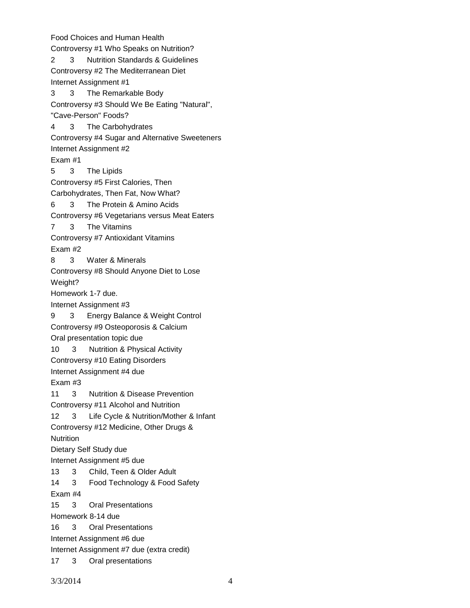Food Choices and Human Health Controversy #1 Who Speaks on Nutrition? 2 3 Nutrition Standards & Guidelines Controversy #2 The Mediterranean Diet Internet Assignment #1 3 3 The Remarkable Body Controversy #3 Should We Be Eating "Natural", "Cave-Person" Foods? 4 3 The Carbohydrates Controversy #4 Sugar and Alternative Sweeteners Internet Assignment #2 Exam #1 5 3 The Lipids Controversy #5 First Calories, Then Carbohydrates, Then Fat, Now What? 6 3 The Protein & Amino Acids Controversy #6 Vegetarians versus Meat Eaters 7 3 The Vitamins Controversy #7 Antioxidant Vitamins Exam #2 8 3 Water & Minerals Controversy #8 Should Anyone Diet to Lose Weight? Homework 1-7 due. Internet Assignment #3 9 3 Energy Balance & Weight Control Controversy #9 Osteoporosis & Calcium Oral presentation topic due 10 3 Nutrition & Physical Activity Controversy #10 Eating Disorders Internet Assignment #4 due Exam #3 11 3 Nutrition & Disease Prevention Controversy #11 Alcohol and Nutrition 12 3 Life Cycle & Nutrition/Mother & Infant Controversy #12 Medicine, Other Drugs & **Nutrition** Dietary Self Study due Internet Assignment #5 due 13 3 Child, Teen & Older Adult 14 3 Food Technology & Food Safety Exam #4 15 3 Oral Presentations Homework 8-14 due 16 3 Oral Presentations Internet Assignment #6 due Internet Assignment #7 due (extra credit) 17 3 Oral presentations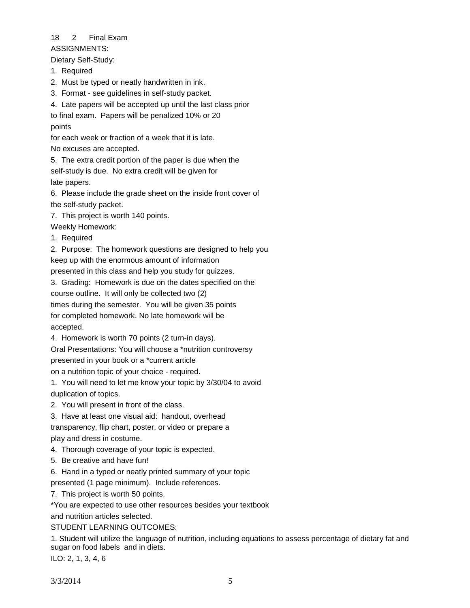# 18 2 Final Exam

ASSIGNMENTS:

Dietary Self-Study:

- 1. Required
- 2. Must be typed or neatly handwritten in ink.
- 3. Format see guidelines in self-study packet.
- 4. Late papers will be accepted up until the last class prior

to final exam. Papers will be penalized 10% or 20 points

for each week or fraction of a week that it is late. No excuses are accepted.

5. The extra credit portion of the paper is due when the self-study is due. No extra credit will be given for late papers.

6. Please include the grade sheet on the inside front cover of the self-study packet.

7. This project is worth 140 points.

- Weekly Homework:
- 1. Required

2. Purpose: The homework questions are designed to help you keep up with the enormous amount of information

presented in this class and help you study for quizzes.

3. Grading: Homework is due on the dates specified on the course outline. It will only be collected two (2)

times during the semester. You will be given 35 points for completed homework. No late homework will be

accepted.

4. Homework is worth 70 points (2 turn-in days).

Oral Presentations: You will choose a \*nutrition controversy

presented in your book or a \*current article

on a nutrition topic of your choice - required.

1. You will need to let me know your topic by 3/30/04 to avoid duplication of topics.

- 2. You will present in front of the class.
- 3. Have at least one visual aid: handout, overhead transparency, flip chart, poster, or video or prepare a

play and dress in costume.

- 4. Thorough coverage of your topic is expected.
- 5. Be creative and have fun!
- 6. Hand in a typed or neatly printed summary of your topic

presented (1 page minimum). Include references.

7. This project is worth 50 points.

\*You are expected to use other resources besides your textbook

and nutrition articles selected.

### STUDENT LEARNING OUTCOMES:

1. Student will utilize the language of nutrition, including equations to assess percentage of dietary fat and sugar on food labels and in diets.

ILO: 2, 1, 3, 4, 6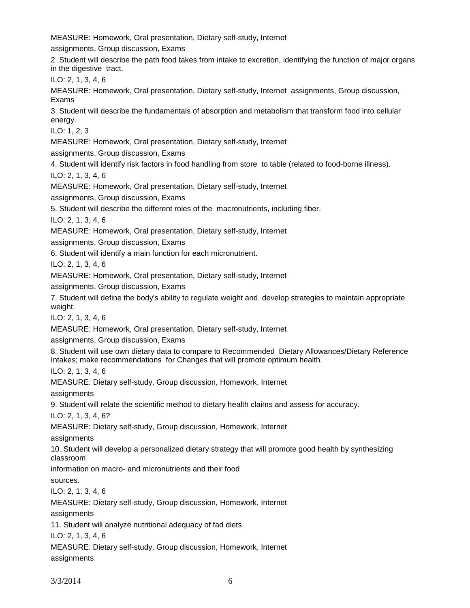MEASURE: Homework, Oral presentation, Dietary self-study, Internet

assignments, Group discussion, Exams

2. Student will describe the path food takes from intake to excretion, identifying the function of major organs in the digestive tract.

ILO: 2, 1, 3, 4, 6

MEASURE: Homework, Oral presentation, Dietary self-study, Internet assignments, Group discussion, Exams

3. Student will describe the fundamentals of absorption and metabolism that transform food into cellular energy.

ILO: 1, 2, 3

MEASURE: Homework, Oral presentation, Dietary self-study, Internet

assignments, Group discussion, Exams

4. Student will identify risk factors in food handling from store to table (related to food-borne illness).

ILO: 2, 1, 3, 4, 6

MEASURE: Homework, Oral presentation, Dietary self-study, Internet

assignments, Group discussion, Exams

5. Student will describe the different roles of the macronutrients, including fiber.

ILO: 2, 1, 3, 4, 6

MEASURE: Homework, Oral presentation, Dietary self-study, Internet

assignments, Group discussion, Exams

6. Student will identify a main function for each micronutrient.

ILO: 2, 1, 3, 4, 6

MEASURE: Homework, Oral presentation, Dietary self-study, Internet

assignments, Group discussion, Exams

7. Student will define the body's ability to regulate weight and develop strategies to maintain appropriate weight.

ILO: 2, 1, 3, 4, 6

MEASURE: Homework, Oral presentation, Dietary self-study, Internet

assignments, Group discussion, Exams

8. Student will use own dietary data to compare to Recommended Dietary Allowances/Dietary Reference Intakes; make recommendations for Changes that will promote optimum health.

ILO: 2, 1, 3, 4, 6

MEASURE: Dietary self-study, Group discussion, Homework, Internet

assignments

9. Student will relate the scientific method to dietary health claims and assess for accuracy.

ILO: 2, 1, 3, 4, 6?

MEASURE: Dietary self-study, Group discussion, Homework, Internet

assignments

10. Student will develop a personalized dietary strategy that will promote good health by synthesizing classroom

information on macro- and micronutrients and their food

sources.

ILO: 2, 1, 3, 4, 6

MEASURE: Dietary self-study, Group discussion, Homework, Internet

assignments

11. Student will analyze nutritional adequacy of fad diets.

ILO: 2, 1, 3, 4, 6

MEASURE: Dietary self-study, Group discussion, Homework, Internet

assignments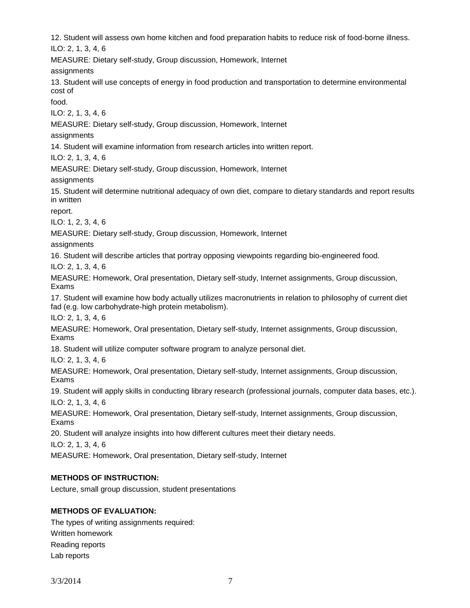12. Student will assess own home kitchen and food preparation habits to reduce risk of food-borne illness. ILO: 2, 1, 3, 4, 6

MEASURE: Dietary self-study, Group discussion, Homework, Internet

assignments

13. Student will use concepts of energy in food production and transportation to determine environmental cost of

food.

ILO: 2, 1, 3, 4, 6

MEASURE: Dietary self-study, Group discussion, Homework, Internet

assignments

14. Student will examine information from research articles into written report.

ILO: 2, 1, 3, 4, 6

MEASURE: Dietary self-study, Group discussion, Homework, Internet

assignments

15. Student will determine nutritional adequacy of own diet, compare to dietary standards and report results in written

report.

ILO: 1, 2, 3, 4, 6

MEASURE: Dietary self-study, Group discussion, Homework, Internet

assignments

16. Student will describe articles that portray opposing viewpoints regarding bio-engineered food.

ILO: 2, 1, 3, 4, 6

MEASURE: Homework, Oral presentation, Dietary self-study, Internet assignments, Group discussion, Exams

17. Student will examine how body actually utilizes macronutrients in relation to philosophy of current diet fad (e.g. low carbohydrate-high protein metabolism).

ILO: 2, 1, 3, 4, 6

MEASURE: Homework, Oral presentation, Dietary self-study, Internet assignments, Group discussion, Exams

18. Student will utilize computer software program to analyze personal diet.

ILO: 2, 1, 3, 4, 6

MEASURE: Homework, Oral presentation, Dietary self-study, Internet assignments, Group discussion, Exams

19. Student will apply skills in conducting library research (professional journals, computer data bases, etc.). ILO: 2, 1, 3, 4, 6

MEASURE: Homework, Oral presentation, Dietary self-study, Internet assignments, Group discussion, Exams

20. Student will analyze insights into how different cultures meet their dietary needs.

ILO: 2, 1, 3, 4, 6

MEASURE: Homework, Oral presentation, Dietary self-study, Internet

### **METHODS OF INSTRUCTION:**

Lecture, small group discussion, student presentations

### **METHODS OF EVALUATION:**

The types of writing assignments required: Written homework Reading reports Lab reports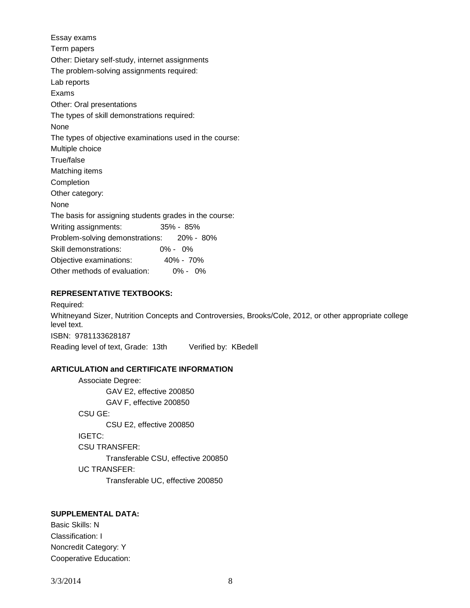Essay exams Term papers Other: Dietary self-study, internet assignments The problem-solving assignments required: Lab reports Exams Other: Oral presentations The types of skill demonstrations required: None The types of objective examinations used in the course: Multiple choice True/false Matching items Completion Other category: None The basis for assigning students grades in the course: Writing assignments: 35% - 85% Problem-solving demonstrations: 20% - 80% Skill demonstrations: 0% - 0% Objective examinations: 40% - 70% Other methods of evaluation: 0% - 0%

#### **REPRESENTATIVE TEXTBOOKS:**

Required: Whitneyand Sizer, Nutrition Concepts and Controversies, Brooks/Cole, 2012, or other appropriate college level text. ISBN: 9781133628187 Reading level of text, Grade: 13th Verified by: KBedell

#### **ARTICULATION and CERTIFICATE INFORMATION**

Associate Degree: GAV E2, effective 200850 GAV F, effective 200850 CSU GE: CSU E2, effective 200850 IGETC: CSU TRANSFER: Transferable CSU, effective 200850 UC TRANSFER: Transferable UC, effective 200850

# **SUPPLEMENTAL DATA:**

Basic Skills: N Classification: I Noncredit Category: Y Cooperative Education: